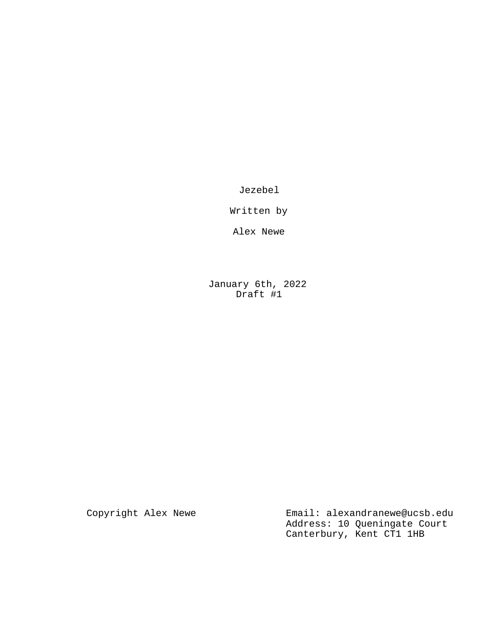Jezebel

Written by

Alex Newe

January 6th, 2022 Draft #1

Copyright Alex Newe **Email:** alexandranewe@ucsb.edu Address: 10 Queningate Court Canterbury, Kent CT1 1HB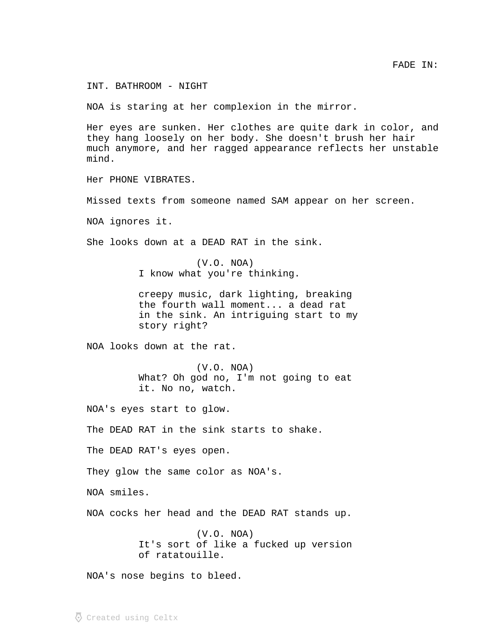INT. BATHROOM - NIGHT

NOA is staring at her complexion in the mirror.

Her eyes are sunken. Her clothes are quite dark in color, and they hang loosely on her body. She doesn't brush her hair much anymore, and her ragged appearance reflects her unstable mind.

Her PHONE VIBRATES.

Missed texts from someone named SAM appear on her screen.

NOA ignores it.

She looks down at a DEAD RAT in the sink.

(V.O. NOA) I know what you're thinking.

creepy music, dark lighting, breaking the fourth wall moment... a dead rat in the sink. An intriguing start to my story right?

NOA looks down at the rat.

(V.O. NOA) What? Oh god no, I'm not going to eat it. No no, watch.

NOA's eyes start to glow.

The DEAD RAT in the sink starts to shake.

The DEAD RAT's eyes open.

They glow the same color as NOA's.

NOA smiles.

NOA cocks her head and the DEAD RAT stands up.

(V.O. NOA) It's sort of like a fucked up version of ratatouille.

NOA's nose begins to bleed.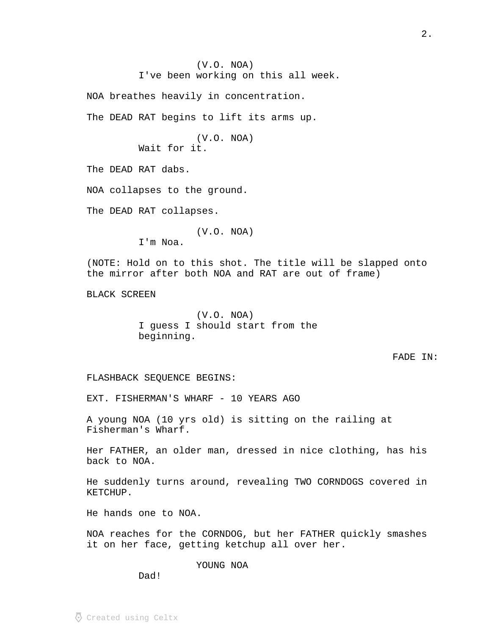(V.O. NOA) I've been working on this all week.

NOA breathes heavily in concentration.

The DEAD RAT begins to lift its arms up.

(V.O. NOA) Wait for it.

The DEAD RAT dabs.

NOA collapses to the ground.

The DEAD RAT collapses.

(V.O. NOA)

I'm Noa.

(NOTE: Hold on to this shot. The title will be slapped onto the mirror after both NOA and RAT are out of frame)

BLACK SCREEN

(V.O. NOA) I guess I should start from the beginning.

FADE IN:

FLASHBACK SEQUENCE BEGINS:

EXT. FISHERMAN'S WHARF - 10 YEARS AGO

A young NOA (10 yrs old) is sitting on the railing at Fisherman's Wharf.

Her FATHER, an older man, dressed in nice clothing, has his back to NOA.

He suddenly turns around, revealing TWO CORNDOGS covered in KETCHUP.

He hands one to NOA.

NOA reaches for the CORNDOG, but her FATHER quickly smashes it on her face, getting ketchup all over her.

YOUNG NOA

Dad!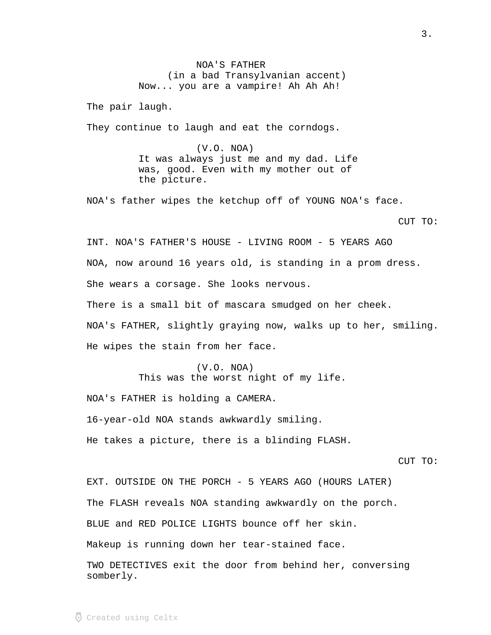NOA'S FATHER (in a bad Transylvanian accent) Now... you are a vampire! Ah Ah Ah!

The pair laugh.

They continue to laugh and eat the corndogs.

(V.O. NOA) It was always just me and my dad. Life was, good. Even with my mother out of the picture.

NOA's father wipes the ketchup off of YOUNG NOA's face.

CUT TO:

INT. NOA'S FATHER'S HOUSE - LIVING ROOM - 5 YEARS AGO NOA, now around 16 years old, is standing in a prom dress. She wears a corsage. She looks nervous. There is a small bit of mascara smudged on her cheek. NOA's FATHER, slightly graying now, walks up to her, smiling. He wipes the stain from her face.

> (V.O. NOA) This was the worst night of my life.

NOA's FATHER is holding a CAMERA.

16-year-old NOA stands awkwardly smiling.

He takes a picture, there is a blinding FLASH.

EXT. OUTSIDE ON THE PORCH - 5 YEARS AGO (HOURS LATER) The FLASH reveals NOA standing awkwardly on the porch. BLUE and RED POLICE LIGHTS bounce off her skin. Makeup is running down her tear-stained face.

TWO DETECTIVES exit the door from behind her, conversing somberly.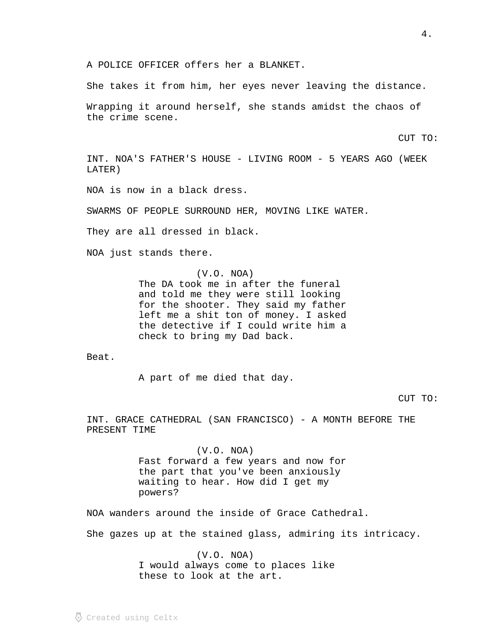A POLICE OFFICER offers her a BLANKET.

She takes it from him, her eyes never leaving the distance.

Wrapping it around herself, she stands amidst the chaos of the crime scene.

CUT TO:

INT. NOA'S FATHER'S HOUSE - LIVING ROOM - 5 YEARS AGO (WEEK LATER)

NOA is now in a black dress.

SWARMS OF PEOPLE SURROUND HER, MOVING LIKE WATER.

They are all dressed in black.

NOA just stands there.

(V.O. NOA) The DA took me in after the funeral and told me they were still looking for the shooter. They said my father left me a shit ton of money. I asked the detective if I could write him a check to bring my Dad back.

Beat.

A part of me died that day.

CUT TO:

INT. GRACE CATHEDRAL (SAN FRANCISCO) - A MONTH BEFORE THE PRESENT TIME

> (V.O. NOA) Fast forward a few years and now for the part that you've been anxiously waiting to hear. How did I get my powers?

NOA wanders around the inside of Grace Cathedral.

She gazes up at the stained glass, admiring its intricacy.

(V.O. NOA) I would always come to places like these to look at the art.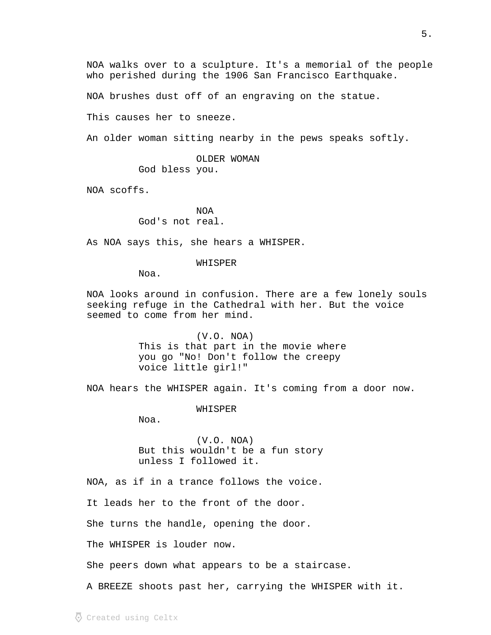NOA walks over to a sculpture. It's a memorial of the people who perished during the 1906 San Francisco Earthquake.

NOA brushes dust off of an engraving on the statue.

This causes her to sneeze.

An older woman sitting nearby in the pews speaks softly.

OLDER WOMAN

God bless you.

NOA scoffs.

NOA God's not real.

As NOA says this, she hears a WHISPER.

WHISPER

Noa.

NOA looks around in confusion. There are a few lonely souls seeking refuge in the Cathedral with her. But the voice seemed to come from her mind.

> (V.O. NOA) This is that part in the movie where you go "No! Don't follow the creepy voice little girl!"

NOA hears the WHISPER again. It's coming from a door now.

WHISPER

Noa.

(V.O. NOA) But this wouldn't be a fun story unless I followed it.

NOA, as if in a trance follows the voice.

It leads her to the front of the door.

She turns the handle, opening the door.

The WHISPER is louder now.

She peers down what appears to be a staircase.

A BREEZE shoots past her, carrying the WHISPER with it.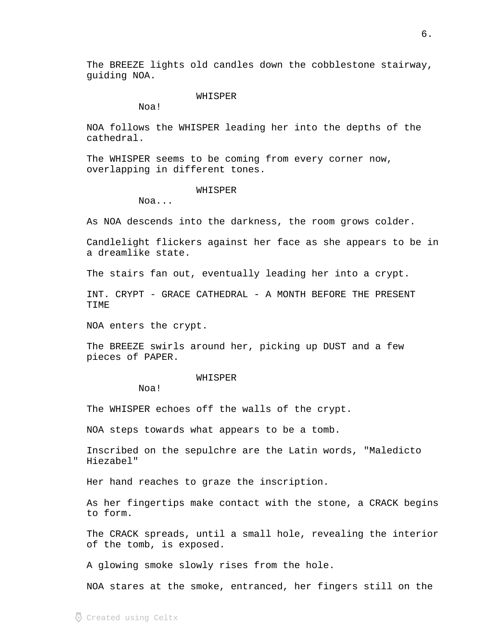The BREEZE lights old candles down the cobblestone stairway, guiding NOA.

### WHISPER

Noa!

NOA follows the WHISPER leading her into the depths of the cathedral.

The WHISPER seems to be coming from every corner now, overlapping in different tones.

### WHISPER

Noa...

As NOA descends into the darkness, the room grows colder.

Candlelight flickers against her face as she appears to be in a dreamlike state.

The stairs fan out, eventually leading her into a crypt.

INT. CRYPT - GRACE CATHEDRAL - A MONTH BEFORE THE PRESENT TIME

NOA enters the crypt.

The BREEZE swirls around her, picking up DUST and a few pieces of PAPER.

#### WHISPER

Noa!

The WHISPER echoes off the walls of the crypt.

NOA steps towards what appears to be a tomb.

Inscribed on the sepulchre are the Latin words, "Maledicto Hiezabel"

Her hand reaches to graze the inscription.

As her fingertips make contact with the stone, a CRACK begins to form.

The CRACK spreads, until a small hole, revealing the interior of the tomb, is exposed.

A glowing smoke slowly rises from the hole.

NOA stares at the smoke, entranced, her fingers still on the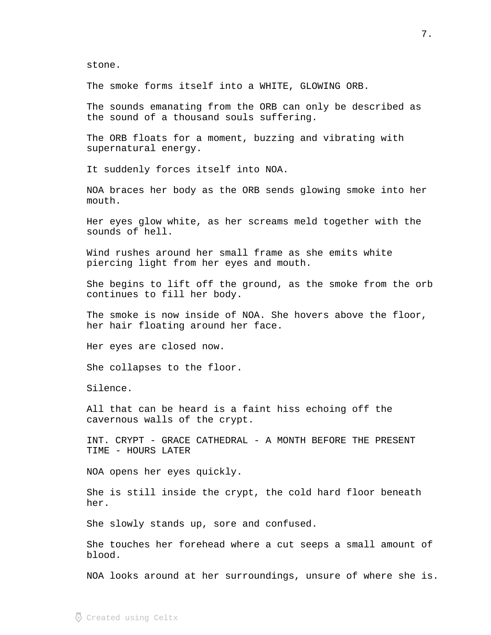stone.

The smoke forms itself into a WHITE, GLOWING ORB.

The sounds emanating from the ORB can only be described as the sound of a thousand souls suffering.

The ORB floats for a moment, buzzing and vibrating with supernatural energy.

It suddenly forces itself into NOA.

NOA braces her body as the ORB sends glowing smoke into her mouth.

Her eyes glow white, as her screams meld together with the sounds of hell.

Wind rushes around her small frame as she emits white piercing light from her eyes and mouth.

She begins to lift off the ground, as the smoke from the orb continues to fill her body.

The smoke is now inside of NOA. She hovers above the floor, her hair floating around her face.

Her eyes are closed now.

She collapses to the floor.

Silence.

All that can be heard is a faint hiss echoing off the cavernous walls of the crypt.

INT. CRYPT - GRACE CATHEDRAL - A MONTH BEFORE THE PRESENT TIME - HOURS LATER

NOA opens her eyes quickly.

She is still inside the crypt, the cold hard floor beneath her.

She slowly stands up, sore and confused.

She touches her forehead where a cut seeps a small amount of blood.

NOA looks around at her surroundings, unsure of where she is.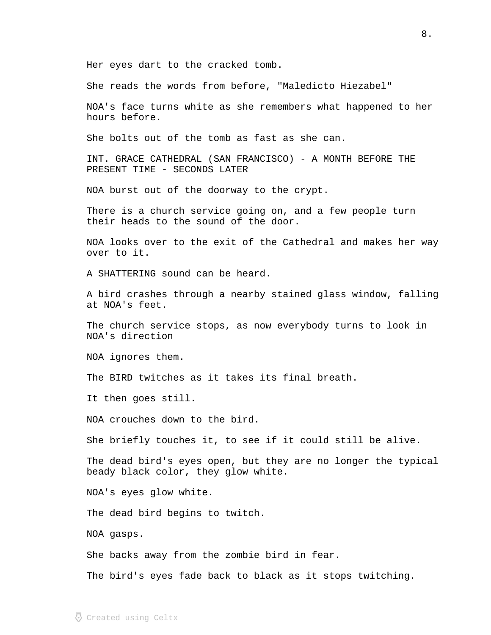Her eyes dart to the cracked tomb.

She reads the words from before, "Maledicto Hiezabel"

NOA's face turns white as she remembers what happened to her hours before.

She bolts out of the tomb as fast as she can.

INT. GRACE CATHEDRAL (SAN FRANCISCO) - A MONTH BEFORE THE PRESENT TIME - SECONDS LATER

NOA burst out of the doorway to the crypt.

There is a church service going on, and a few people turn their heads to the sound of the door.

NOA looks over to the exit of the Cathedral and makes her way over to it.

A SHATTERING sound can be heard.

A bird crashes through a nearby stained glass window, falling at NOA's feet.

The church service stops, as now everybody turns to look in NOA's direction

NOA ignores them.

The BIRD twitches as it takes its final breath.

It then goes still.

NOA crouches down to the bird.

She briefly touches it, to see if it could still be alive.

The dead bird's eyes open, but they are no longer the typical beady black color, they glow white.

NOA's eyes glow white.

The dead bird begins to twitch.

NOA gasps.

She backs away from the zombie bird in fear.

The bird's eyes fade back to black as it stops twitching.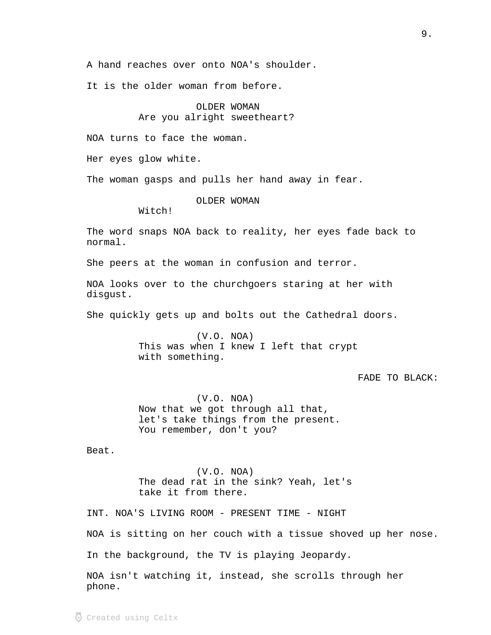A hand reaches over onto NOA's shoulder.

It is the older woman from before.

# OLDER WOMAN Are you alright sweetheart?

NOA turns to face the woman.

Her eyes glow white.

The woman gasps and pulls her hand away in fear.

OLDER WOMAN

Witch!

The word snaps NOA back to reality, her eyes fade back to normal.

She peers at the woman in confusion and terror.

NOA looks over to the churchgoers staring at her with disgust.

She quickly gets up and bolts out the Cathedral doors.

(V.O. NOA) This was when I knew I left that crypt with something.

FADE TO BLACK:

(V.O. NOA) Now that we got through all that, let's take things from the present. You remember, don't you?

Beat.

(V.O. NOA) The dead rat in the sink? Yeah, let's take it from there.

INT. NOA'S LIVING ROOM - PRESENT TIME - NIGHT NOA is sitting on her couch with a tissue shoved up her nose. In the background, the TV is playing Jeopardy. NOA isn't watching it, instead, she scrolls through her

phone.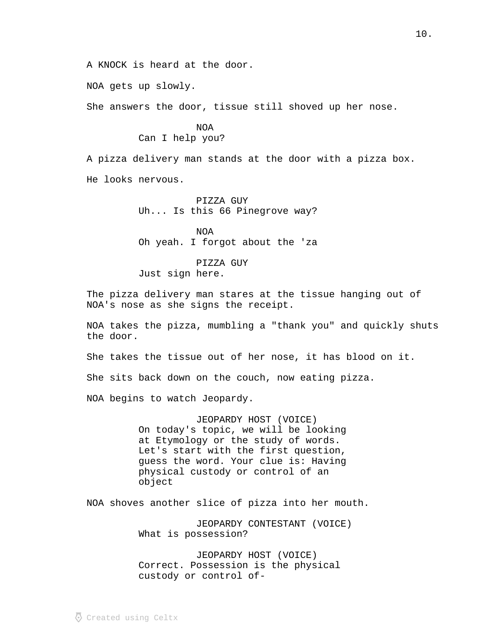A KNOCK is heard at the door.

NOA gets up slowly.

She answers the door, tissue still shoved up her nose.

NOA Can I help you?

A pizza delivery man stands at the door with a pizza box. He looks nervous.

> PIZZA GUY Uh... Is this 66 Pinegrove way?

> NOA Oh yeah. I forgot about the 'za

PIZZA GUY Just sign here.

The pizza delivery man stares at the tissue hanging out of NOA's nose as she signs the receipt.

NOA takes the pizza, mumbling a "thank you" and quickly shuts the door.

She takes the tissue out of her nose, it has blood on it.

She sits back down on the couch, now eating pizza.

NOA begins to watch Jeopardy.

JEOPARDY HOST (VOICE) On today's topic, we will be looking at Etymology or the study of words. Let's start with the first question, guess the word. Your clue is: Having physical custody or control of an object

NOA shoves another slice of pizza into her mouth.

JEOPARDY CONTESTANT (VOICE) What is possession?

JEOPARDY HOST (VOICE) Correct. Possession is the physical custody or control of-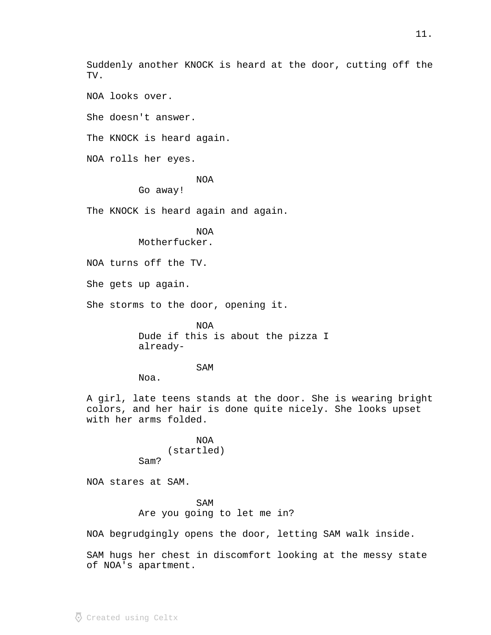Suddenly another KNOCK is heard at the door, cutting off the TV.

NOA looks over.

She doesn't answer.

The KNOCK is heard again.

NOA rolls her eyes.

NOA

Go away!

The KNOCK is heard again and again.

NOA Motherfucker.

NOA turns off the TV.

She gets up again.

She storms to the door, opening it.

NOA Dude if this is about the pizza I already-

SAM

Noa.

A girl, late teens stands at the door. She is wearing bright colors, and her hair is done quite nicely. She looks upset with her arms folded.

> NOA (startled) Sam?

NOA stares at SAM.

SAM Are you going to let me in?

NOA begrudgingly opens the door, letting SAM walk inside.

SAM hugs her chest in discomfort looking at the messy state of NOA's apartment.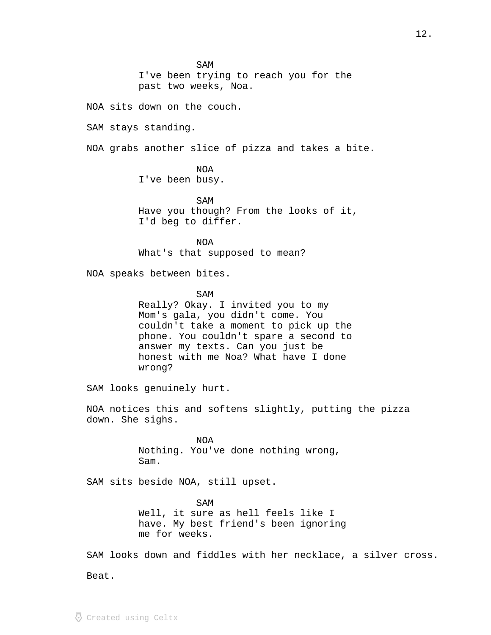SAM

I've been trying to reach you for the past two weeks, Noa.

NOA sits down on the couch.

SAM stays standing.

NOA grabs another slice of pizza and takes a bite.

NOA I've been busy.

SAM Have you though? From the looks of it, I'd beg to differ.

NOA What's that supposed to mean?

NOA speaks between bites.

SAM Really? Okay. I invited you to my Mom's gala, you didn't come. You couldn't take a moment to pick up the phone. You couldn't spare a second to answer my texts. Can you just be honest with me Noa? What have I done wrong?

SAM looks genuinely hurt.

NOA notices this and softens slightly, putting the pizza down. She sighs.

> NOA Nothing. You've done nothing wrong, Sam.

SAM sits beside NOA, still upset.

SAM Well, it sure as hell feels like I have. My best friend's been ignoring me for weeks.

SAM looks down and fiddles with her necklace, a silver cross. Beat.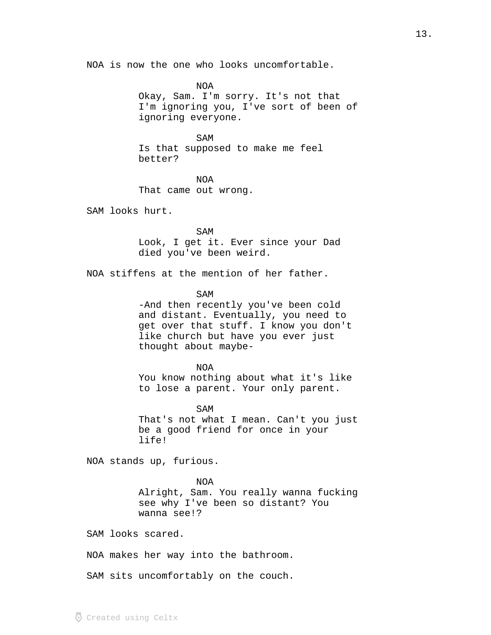NOA is now the one who looks uncomfortable.

NOA Okay, Sam. I'm sorry. It's not that I'm ignoring you, I've sort of been of ignoring everyone.

## SAM

Is that supposed to make me feel better?

NOA That came out wrong.

SAM looks hurt.

SAM Look, I get it. Ever since your Dad died you've been weird.

NOA stiffens at the mention of her father.

SAM

-And then recently you've been cold and distant. Eventually, you need to get over that stuff. I know you don't like church but have you ever just thought about maybe-

#### NOA

You know nothing about what it's like to lose a parent. Your only parent.

SAM

That's not what I mean. Can't you just be a good friend for once in your life!

NOA stands up, furious.

NOA Alright, Sam. You really wanna fucking see why I've been so distant? You wanna see!?

SAM looks scared.

NOA makes her way into the bathroom.

SAM sits uncomfortably on the couch.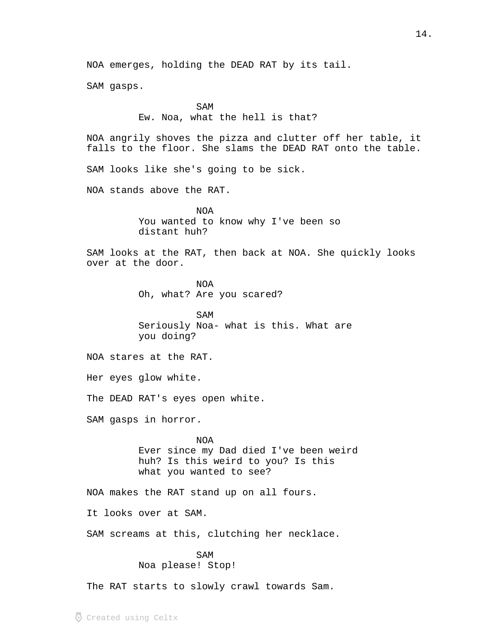NOA emerges, holding the DEAD RAT by its tail.

SAM gasps.

SAM

Ew. Noa, what the hell is that?

NOA angrily shoves the pizza and clutter off her table, it falls to the floor. She slams the DEAD RAT onto the table.

SAM looks like she's going to be sick.

NOA stands above the RAT.

NOA You wanted to know why I've been so distant huh?

SAM looks at the RAT, then back at NOA. She quickly looks over at the door.

> NOA Oh, what? Are you scared?

SAM Seriously Noa- what is this. What are you doing?

NOA stares at the RAT.

Her eyes glow white.

The DEAD RAT's eyes open white.

SAM gasps in horror.

NOA Ever since my Dad died I've been weird huh? Is this weird to you? Is this what you wanted to see?

NOA makes the RAT stand up on all fours.

It looks over at SAM.

SAM screams at this, clutching her necklace.

## SAM

Noa please! Stop!

The RAT starts to slowly crawl towards Sam.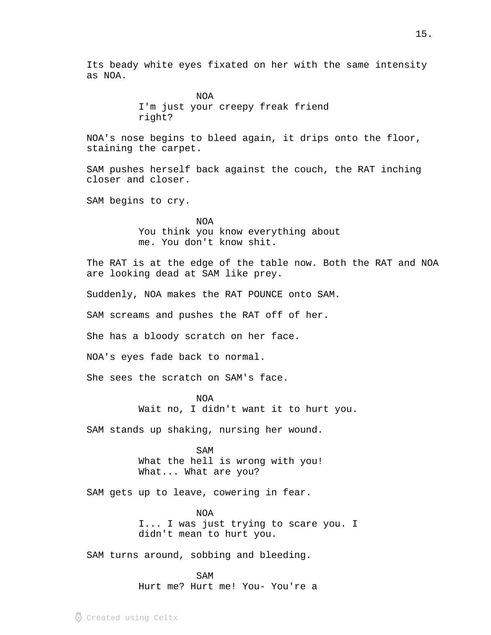Its beady white eyes fixated on her with the same intensity as NOA.

> NOA I'm just your creepy freak friend right?

NOA's nose begins to bleed again, it drips onto the floor, staining the carpet.

SAM pushes herself back against the couch, the RAT inching closer and closer.

SAM begins to cry.

NOA You think you know everything about me. You don't know shit.

The RAT is at the edge of the table now. Both the RAT and NOA are looking dead at SAM like prey.

Suddenly, NOA makes the RAT POUNCE onto SAM.

SAM screams and pushes the RAT off of her.

She has a bloody scratch on her face.

NOA's eyes fade back to normal.

She sees the scratch on SAM's face.

NOA

Wait no, I didn't want it to hurt you.

SAM stands up shaking, nursing her wound.

SAM What the hell is wrong with you! What... What are you?

SAM gets up to leave, cowering in fear.

NOA I... I was just trying to scare you. I didn't mean to hurt you.

SAM turns around, sobbing and bleeding.

SAM Hurt me? Hurt me! You- You're a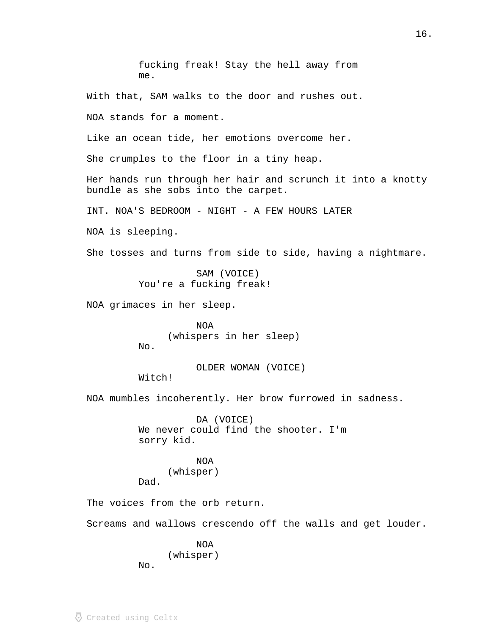fucking freak! Stay the hell away from me.

With that, SAM walks to the door and rushes out.

NOA stands for a moment.

Like an ocean tide, her emotions overcome her.

She crumples to the floor in a tiny heap.

Her hands run through her hair and scrunch it into a knotty bundle as she sobs into the carpet.

INT. NOA'S BEDROOM - NIGHT - A FEW HOURS LATER

NOA is sleeping.

She tosses and turns from side to side, having a nightmare.

SAM (VOICE) You're a fucking freak!

NOA grimaces in her sleep.

NOA (whispers in her sleep) No.

OLDER WOMAN (VOICE) Witch!

NOA mumbles incoherently. Her brow furrowed in sadness.

DA (VOICE) We never could find the shooter. I'm sorry kid.

NOA (whisper) Dad.

The voices from the orb return.

Screams and wallows crescendo off the walls and get louder.

NOA (whisper)

No.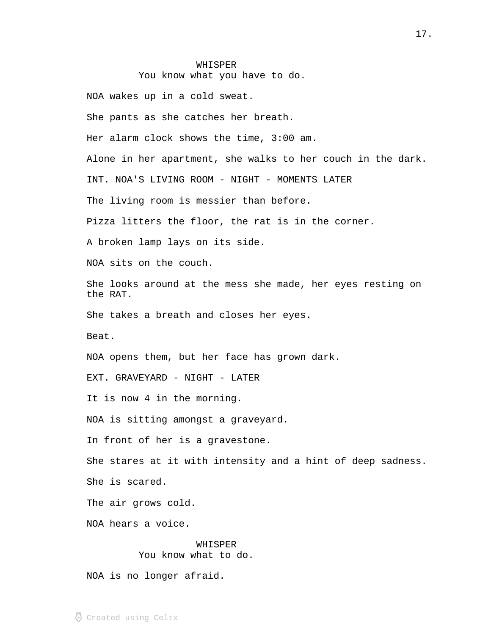# WHISPER You know what you have to do.

NOA wakes up in a cold sweat. She pants as she catches her breath. Her alarm clock shows the time, 3:00 am. Alone in her apartment, she walks to her couch in the dark. INT. NOA'S LIVING ROOM - NIGHT - MOMENTS LATER The living room is messier than before. Pizza litters the floor, the rat is in the corner. A broken lamp lays on its side. NOA sits on the couch. She looks around at the mess she made, her eyes resting on the RAT. She takes a breath and closes her eyes. Beat. NOA opens them, but her face has grown dark. EXT. GRAVEYARD - NIGHT - LATER It is now 4 in the morning. NOA is sitting amongst a graveyard. In front of her is a gravestone. She stares at it with intensity and a hint of deep sadness. She is scared. The air grows cold. NOA hears a voice. WHISPER

You know what to do.

NOA is no longer afraid.